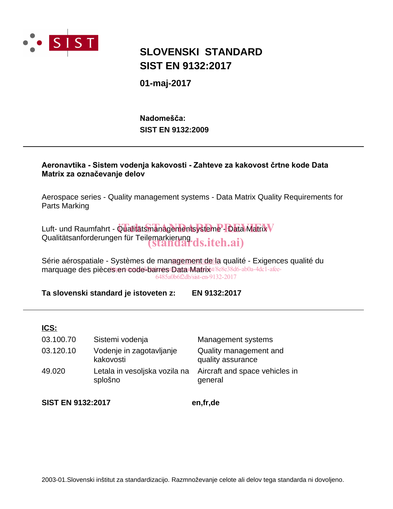

## **SIST EN 9132:2017 SLOVENSKI STANDARD**

**01-maj-2017**

**SIST EN 9132:2009** Nadomešča:

#### Aeronavtika - Sistem vodenja kakovosti - Zahteve za kakovost črtne kode Data **Matrix za označevanje delov**

Aerospace series - Quality management systems - Data Matrix Quality Requirements for Parts Marking

Luft- und Raumfahrt - Qualitätsmanagementsysteme - Data Matrix V Qualitätsanforderungen für Teilemarkierung<br>
(Standards.iteh.ai)

Série aérospatiale - Systèmes de management de la qualité - Exigences qualité du marquage des pièces en sode-barres Data Matrix st/8e8e38d6-ab0a-4dc1-afee-6485a0b6f2db/sist-en-9132-2017

**Ta slovenski standard je istoveten z: EN 9132:2017**

#### **ICS:**

| 03.100.70 | Sistemi vodenja                          | Management systems                          |
|-----------|------------------------------------------|---------------------------------------------|
| 03.120.10 | Vodenje in zagotavljanje<br>kakovosti    | Quality management and<br>quality assurance |
| 49.020    | Letala in vesoljska vozila na<br>splošno | Aircraft and space vehicles in<br>general   |

**SIST EN 9132:2017 en,fr,de**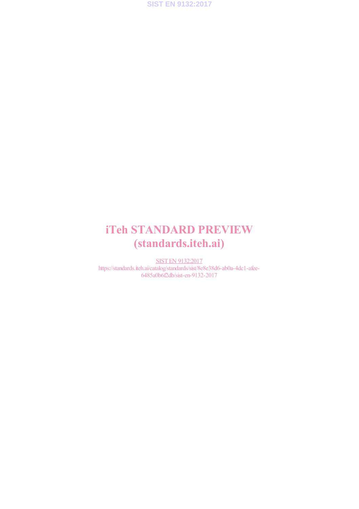

## iTeh STANDARD PREVIEW (standards.iteh.ai)

SIST EN 9132:2017 https://standards.iteh.ai/catalog/standards/sist/8e8e38d6-ab0a-4dc1-afee-6485a0b6f2db/sist-en-9132-2017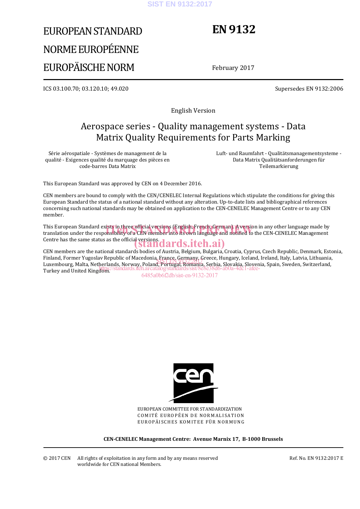#### **SIST EN 9132:2017**

# EUROPEAN STANDARD NORME EUROPÉENNE EUROPÄISCHE NORM

## **EN 9132**

February 2017

ICS 03.100.70; 03.120.10; 49.020 Supersedes EN 9132:2006

English Version

## Aerospace series - Quality management systems - Data Matrix Quality Requirements for Parts Marking

Série aérospatiale - Systèmes de management de la qualité - Exigences qualité du marquage des pièces en code-barres Data Matrix

 Luft- und Raumfahrt - Qualitätsmanagementsysteme - Data Matrix Qualitätsanforderungen für Teilemarkierung

This European Standard was approved by CEN on 4 December 2016.

CEN members are bound to comply with the CEN/CENELEC Internal Regulations which stipulate the conditions for giving this European Standard the status of a national standard without any alteration. Up-to-date lists and bibliographical references concerning such national standards may be obtained on application to the CEN-CENELEC Management Centre or to any CEN member.

This European Standard exists in three official versions (English, French, German). A version in any other language made by This European Standard exists in three official versions (English, French, German). A version in any other language made by<br>translation under the responsibility of a CEN member into its own language and notified to the CEN Centre has the same status as the official versions.<br>
Standards.iteh.ai)

CEN members are the national standards bodies of Austria, Belgium, Bulgaria, Croatia, Cyprus, Czech Republic, Denmark, Estonia, Finland, Former Yugoslav Republic of Macedonia, France, Germany, Greece, Hungary, Iceland, Ireland, Italy, Latvia, Lithuania, rinianu, roriner Tugosiav Republic of Maceuonia, France, Germany, Greece, Hungary, Icelanu, Irelanu, Italy, Latvia, Lithuania,<br>Luxembourg, Malta, Netherlands, Norway, Poland, Portugal, Romania, Serbia, Slovakia, Slovenia, Turkey and United Kingdom. https://standards.iteh.ai/catalog/standards/sist/8e8e38d6-ab0a-4dc1-afee-

6485a0b6f2db/sist-en-9132-2017



EUROPEAN COMMITTEE FOR STANDARDIZATION COMITÉ EUROPÉEN DE NORMALISATION EUROPÄISCHES KOMITEE FÜR NORMUNG

**CEN-CENELEC Management Centre: Avenue Marnix 17, B-1000 Brussels**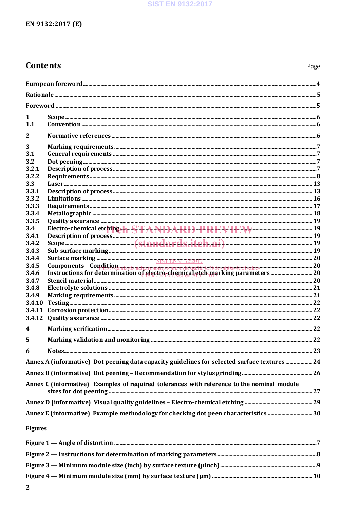#### **SIST EN 9132:2017**

### EN 9132:2017 (E)

## **Contents**

| 1            |                                                                                             |  |  |  |
|--------------|---------------------------------------------------------------------------------------------|--|--|--|
| 1.1          |                                                                                             |  |  |  |
| $\mathbf{2}$ |                                                                                             |  |  |  |
| 3            |                                                                                             |  |  |  |
| 3.1          |                                                                                             |  |  |  |
| 3.2          |                                                                                             |  |  |  |
| 3.2.1        |                                                                                             |  |  |  |
| 3.2.2        |                                                                                             |  |  |  |
| 3.3          |                                                                                             |  |  |  |
| 3.3.1        |                                                                                             |  |  |  |
| 3.3.2        |                                                                                             |  |  |  |
| 3.3.3        |                                                                                             |  |  |  |
| 3.3.4        |                                                                                             |  |  |  |
| 3.3.5        |                                                                                             |  |  |  |
| 3.4          |                                                                                             |  |  |  |
| 3.4.1        |                                                                                             |  |  |  |
| 3.4.2        |                                                                                             |  |  |  |
| 3.4.3        |                                                                                             |  |  |  |
| 3.4.4        |                                                                                             |  |  |  |
| 3.4.5        | $components - Condition$                                                                    |  |  |  |
| 3.4.6        |                                                                                             |  |  |  |
| 3.4.7        |                                                                                             |  |  |  |
| 3.4.8        |                                                                                             |  |  |  |
| 3.4.9        |                                                                                             |  |  |  |
| 3.4.10       |                                                                                             |  |  |  |
| 3.4.11       |                                                                                             |  |  |  |
| 3.4.12       |                                                                                             |  |  |  |
| 4            |                                                                                             |  |  |  |
| 5            |                                                                                             |  |  |  |
| 6            |                                                                                             |  |  |  |
|              | Annex A (informative) Dot peening data capacity guidelines for selected surface textures 24 |  |  |  |
|              |                                                                                             |  |  |  |
|              | Annex C (informative) Examples of required tolerances with reference to the nominal module  |  |  |  |
|              |                                                                                             |  |  |  |
|              |                                                                                             |  |  |  |
|              | Annex E (informative) Example methodology for checking dot peen characteristics 30          |  |  |  |
|              |                                                                                             |  |  |  |

## **Figures**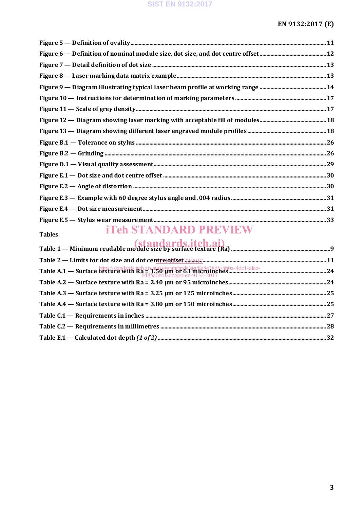#### **SIST EN 9132:2017**

### **EN 9132:2017 (E)**

| <b>iTeh STANDARD PREVIEW</b><br><b>Tables</b>                                                                                                     |  |
|---------------------------------------------------------------------------------------------------------------------------------------------------|--|
|                                                                                                                                                   |  |
|                                                                                                                                                   |  |
| $Table A.1 - Surface texture with Rå = 1.504400(stat) of 63 mice, 2017Table A.1 - Surface texture with Rå = 1.50400 (200)(stat) of 63 mice, 2017$ |  |
|                                                                                                                                                   |  |
|                                                                                                                                                   |  |
|                                                                                                                                                   |  |
|                                                                                                                                                   |  |
|                                                                                                                                                   |  |
|                                                                                                                                                   |  |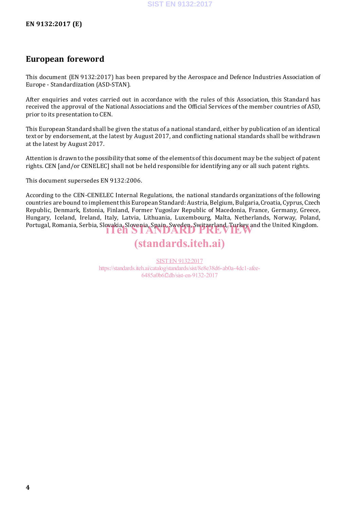### **European foreword**

This document (EN 9132:2017) has been prepared by the Aerospace and Defence Industries Association of Europe - Standardization (ASD-STAN).

After enquiries and votes carried out in accordance with the rules of this Association, this Standard has received the approval of the National Associations and the Official Services of the member countries of ASD, prior to its presentation to CEN.

This European Standard shall be given the status of a national standard, either by publication of an identical text or by endorsement, at the latest by August 2017, and conflicting national standards shall be withdrawn at the latest by August 2017.

Attention is drawn to the possibility that some of the elements of this document may be the subject of patent rights. CEN [and/or CENELEC] shall not be held responsible for identifying any or all such patent rights.

This document supersedes EN 9132:2006.

According to the CEN-CENELEC Internal Regulations, the national standards organizations of the following countries are bound to implement this European Standard: Austria, Belgium, Bulgaria, Croatia, Cyprus, Czech Republic, Denmark, Estonia, Finland, Former Yugoslav Republic of Macedonia, France, Germany, Greece, Hungary, Iceland, Ireland, Italy, Latvia, Lithuania, Luxembourg, Malta, Netherlands, Norway, Poland, Portugal, Romania, Serbia, Slovakia, Slovenia, Spain, Sweden, Switzerland, Turkey and the United Kingdom. **IIEN STANDARD PREVIEW** 

## (standards.iteh.ai)

SIST EN 9132:2017 https://standards.iteh.ai/catalog/standards/sist/8e8e38d6-ab0a-4dc1-afee-6485a0b6f2db/sist-en-9132-2017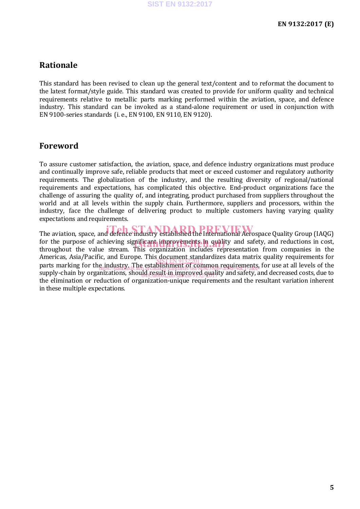### **Rationale**

This standard has been revised to clean up the general text/content and to reformat the document to the latest format/style guide. This standard was created to provide for uniform quality and technical requirements relative to metallic parts marking performed within the aviation, space, and defence industry. This standard can be invoked as a stand-alone requirement or used in conjunction with EN 9100-series standards (i. e., EN 9100, EN 9110, EN 9120).

### **Foreword**

To assure customer satisfaction, the aviation, space, and defence industry organizations must produce and continually improve safe, reliable products that meet or exceed customer and regulatory authority requirements. The globalization of the industry, and the resulting diversity of regional/national requirements and expectations, has complicated this objective. End-product organizations face the challenge of assuring the quality of, and integrating, product purchased from suppliers throughout the world and at all levels within the supply chain. Furthermore, suppliers and processors, within the industry, face the challenge of delivering product to multiple customers having varying quality expectations and requirements.

The aviation, space, and defence industry established the International Aerospace Quality Group (IAQG) for the purpose of achieving significant improvements in quality and safety, and reductions in cost, the value stream. This organization includes representation from companies in the throughout the value stream. This organization includes representation from companies in the Americas, Asia/Pacific, and Europe. This document standardizes data matrix quality requirements for parts marking for the industry. The establishment of common requirements, for use at all levels of the<br>parts marking for the impsystancerds ten arcatalog standards sist seses odo-abba-4dc]-alecsupply-chain by organizations, should result in improved quality and safety, and decreased costs, due to the elimination or reduction of organization-unique requirements and the resultant variation inherent in these multiple expectations. SIST EN 9132:2017 https://standards.iteh.ai/catalog/standards/sist/8e8e38d6-ab0a-4dc1-afee-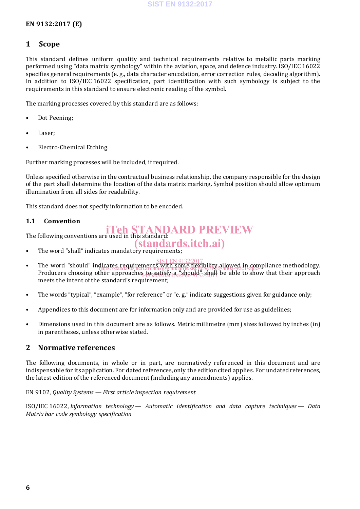#### **EN 9132:2017 (E)**

#### **1 Scope**

This standard defines uniform quality and technical requirements relative to metallic parts marking performed using "data matrix symbology" within the aviation, space, and defence industry. ISO/IEC 16022 specifies general requirements (e. g., data character encodation, error correction rules, decoding algorithm). In addition to ISO/IEC 16022 specification, part identification with such symbology is subject to the requirements in this standard to ensure electronic reading of the symbol.

The marking processes covered by this standard are as follows:

- Dot Peening;
- Laser;
- Electro-Chemical Etching.

Further marking processes will be included, if required.

Unless specified otherwise in the contractual business relationship, the company responsible for the design of the part shall determine the location of the data matrix marking. Symbol position should allow optimum illumination from all sides for readability.

This standard does not specify information to be encoded.

#### **1.1 Convention**

The following conventions are used in this standard: The **NURTANDARD PREVIEW** 

- (standards.iteh.ai)
- The word "shall" indicates mandatory requirements;
- The word "should" indicates requirements with some flexibility allowed in compliance methodology. Producers choosing other approaches to satisfy a "should" shall be able to show that their approach meets the intent of the standard's requirement; SIST EN 9132:2017. https://standards.iteh.ai/catalog/standards/sist/8e8e38d6-ab0a-4dc1-afee-
- The words "typical", "example", "for reference" or "e. g." indicate suggestions given for guidance only;
- Appendices to this document are for information only and are provided for use as guidelines;
- Dimensions used in this document are as follows. Metric millimetre (mm) sizes followed by inches (in) in parentheses, unless otherwise stated.

#### **2 Normative references**

The following documents, in whole or in part, are normatively referenced in this document and are indispensable for its application. For dated references, only the edition cited applies. For undated references, the latest edition of the referenced document (including any amendments) applies.

#### EN 9102, *Quality Systems — First article inspection requirement*

ISO/IEC 16022, *Information technology — Automatic identification and data capture techniques — Data Matrix bar code symbology specification*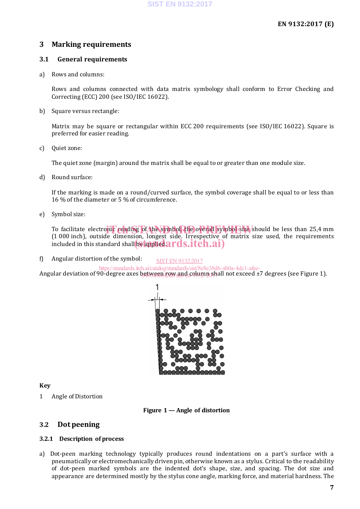#### **3 Marking requirements**

#### **3.1 General requirements**

a) Rows and columns:

Rows and columns connected with data matrix symbology shall conform to Error Checking and Correcting (ECC) 200 (see ISO/IEC 16022).

b) Square versus rectangle:

Matrix may be square or rectangular within ECC 200 requirements (see ISO/IEC 16022). Square is preferred for easier reading.

c) Quiet zone:

The quiet zone (margin) around the matrix shall be equal to or greater than one module size.

d) Round surface:

If the marking is made on a round/curved surface, the symbol coverage shall be equal to or less than 16 % of the diameter or 5 % of circumference.

e) Symbol size:

To facilitate electronic reading of the symbol, the overall symbol size should be less than 25,4 mm<br>(1.000 inch), outside dimension, longest side, Irrespective of matrix size used, the requirements (1 000 inch), outside dimension, longest side. Irrespective of matrix size used, the requirements included in this standard shall be applied ards.itch.ai)

f) Angular distortion of the symbol: SIST EN 9132:2017

https://standards.iteh.ai/catalog/standards/sist/8e8e38d6-ab0a-4dc1-afee-





**Key**

1 Angle of Distortion

**Figure 1 — Angle of distortion**

#### **3.2 Dot peening**

#### **3.2.1 Description of process**

a) Dot-peen marking technology typically produces round indentations on a part's surface with a pneumatically or electromechanically driven pin, otherwise known as a stylus. Critical to the readability of dot-peen marked symbols are the indented dot's shape, size, and spacing. The dot size and appearance are determined mostly by the stylus cone angle, marking force, and material hardness. The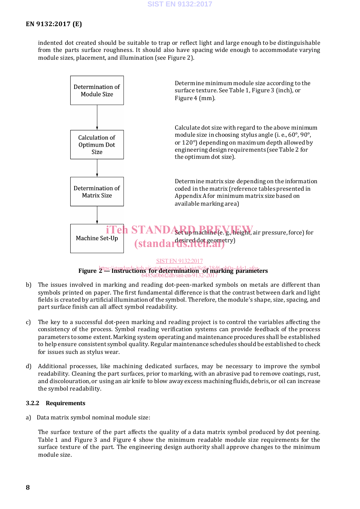#### **EN 9132:2017 (E)**

indented dot created should be suitable to trap or reflect light and large enough to be distinguishable from the parts surface roughness. It should also have spacing wide enough to accommodate varying module sizes, placement, and illumination (see Figure 2).



Figure 2<sup>ttps://standards.iteh.ai/catalog/standards/sist/8e8e38d6-ab0a-4dc1-afeers</sup> 6485a0b6f2db/sist-en-9132-2017

- b) The issues involved in marking and reading dot-peen-marked symbols on metals are different than symbols printed on paper. The first fundamental difference is that the contrast between dark and light fields is created by artificial illumination of the symbol. Therefore, the module's shape, size, spacing, and part surface finish can all affect symbol readability.
- c) The key to a successful dot-peen marking and reading project is to control the variables affecting the consistency of the process. Symbol reading verification systems can provide feedback of the process parameters to some extent. Marking system operating and maintenance procedures shall be established to help ensure consistent symbol quality. Regular maintenance schedules should be established to check for issues such as stylus wear.
- d) Additional processes, like machining dedicated surfaces, may be necessary to improve the symbol readability. Cleaning the part surfaces, prior to marking, with an abrasive pad to remove coatings, rust, and discolouration, or using an air knife to blow away excess machining fluids, debris, or oil can increase the symbol readability.

#### **3.2.2 Requirements**

a) Data matrix symbol nominal module size:

The surface texture of the part affects the quality of a data matrix symbol produced by dot peening. Table 1 and Figure 3 and Figure 4 show the minimum readable module size requirements for the surface texture of the part. The engineering design authority shall approve changes to the minimum module size.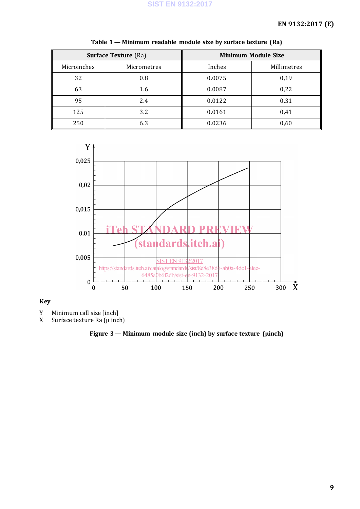| <b>Surface Texture (Ra)</b> |             | <b>Minimum Module Size</b> |             |
|-----------------------------|-------------|----------------------------|-------------|
| Microinches                 | Micrometres | Inches                     | Millimetres |
| 32                          | 0.8         | 0.0075                     | 0,19        |
| 63                          | 1.6         | 0.0087                     | 0,22        |
| 95                          | 2.4         | 0.0122                     | 0,31        |
| 125                         | 3.2         | 0.0161                     | 0,41        |
| 250                         | 6.3         | 0.0236                     | 0,60        |

**Table 1 — Minimum readable module size by surface texture (Ra)**



#### **Key**

- Y Minimum call size [inch]<br>X Surface texture Ra (µ incl
- Surface texture  $Ra$  ( $\mu$  inch)

#### **Figure** 3 — Minimum module size (inch) by surface texture ( $\mu$ inch)